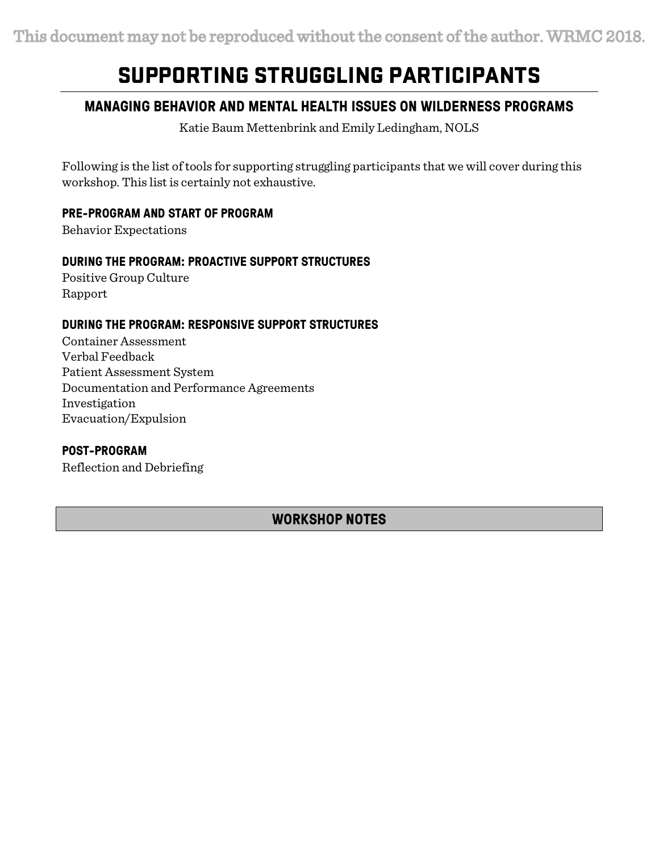# SUPPORTING STRUGGLING PARTICIPANTS

# **MANAGING BEHAVIOR AND MENTAL HEALTH ISSUES ON WILDERNESS PROGRAMS**

Katie Baum Mettenbrink and Emily Ledingham, NOLS

Following is the list of tools for supporting struggling participants that we will cover during this workshop. This list is certainly not exhaustive.

## **PRE-PROGRAM AND START OF PROGRAM**

Behavior Expectations

## **DURING THE PROGRAM: PROACTIVE SUPPORT STRUCTURES**

Positive Group Culture Rapport

## **DURING THE PROGRAM: RESPONSIVE SUPPORT STRUCTURES**

Container Assessment Verbal Feedback Patient Assessment System Documentation and Performance Agreements Investigation Evacuation/Expulsion

## **POST-PROGRAM**

Reflection and Debriefing

# **WORKSHOP NOTES**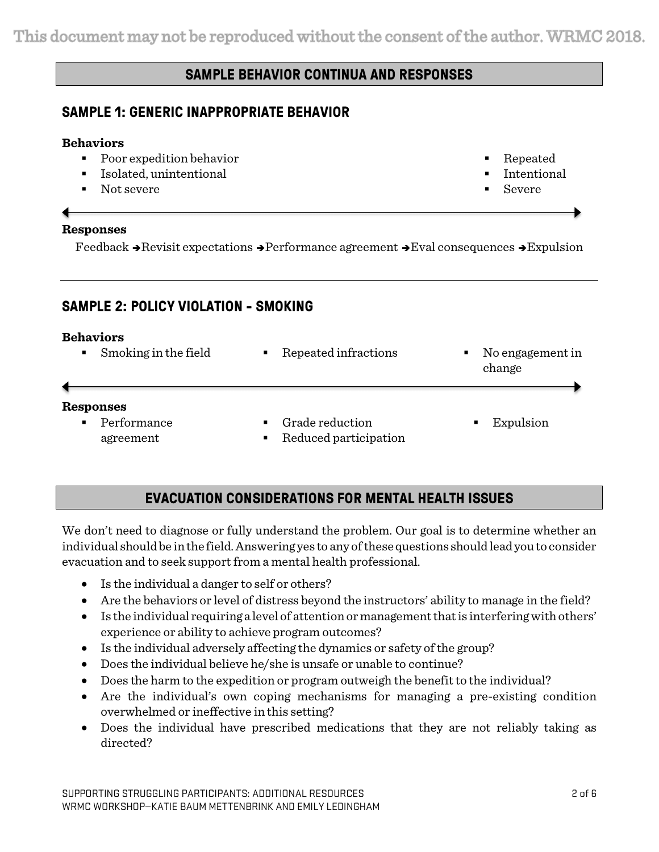# **SAMPLE BEHAVIOR CONTINUA AND RESPONSES**

## **SAMPLE 1: GENERIC INAPPROPRIATE BEHAVIOR**

## **Behaviors**

- Poor expedition behavior
- Isolated, unintentional
- Not severe

## **Responses**

Feedback  $\rightarrow$  Revisit expectations  $\rightarrow$  Performance agreement  $\rightarrow$  Eval consequences  $\rightarrow$  Expulsion

# **SAMPLE 2: POLICY VIOLATION - SMOKING**

## **Behaviors**

| Smoking in the field                  | Repeated infractions                                       | No engagement in<br>$\blacksquare$<br>change |
|---------------------------------------|------------------------------------------------------------|----------------------------------------------|
| Responses<br>Performance<br>agreement | Grade reduction<br>Reduced participation<br>$\blacksquare$ | Expulsion                                    |

# **EVACUATION CONSIDERATIONS FOR MENTAL HEALTH ISSUES**

We don't need to diagnose or fully understand the problem. Our goal is to determine whether an individual should be in the field. Answering yes to any of these questions should lead you to consider evacuation and to seek support from a mental health professional.

- Is the individual a danger to self or others?
- Are the behaviors or level of distress beyond the instructors' ability to manage in the field?
- $\bullet$  Is the individual requiring a level of attention or management that is interfering with others' experience or ability to achieve program outcomes?
- Is the individual adversely affecting the dynamics or safety of the group?
- Does the individual believe he/she is unsafe or unable to continue?
- Does the harm to the expedition or program outweigh the benefit to the individual?
- Are the individual's own coping mechanisms for managing a pre-existing condition overwhelmed or ineffective in this setting?
- Does the individual have prescribed medications that they are not reliably taking as directed?

§ Repeated **Intentional** § Severe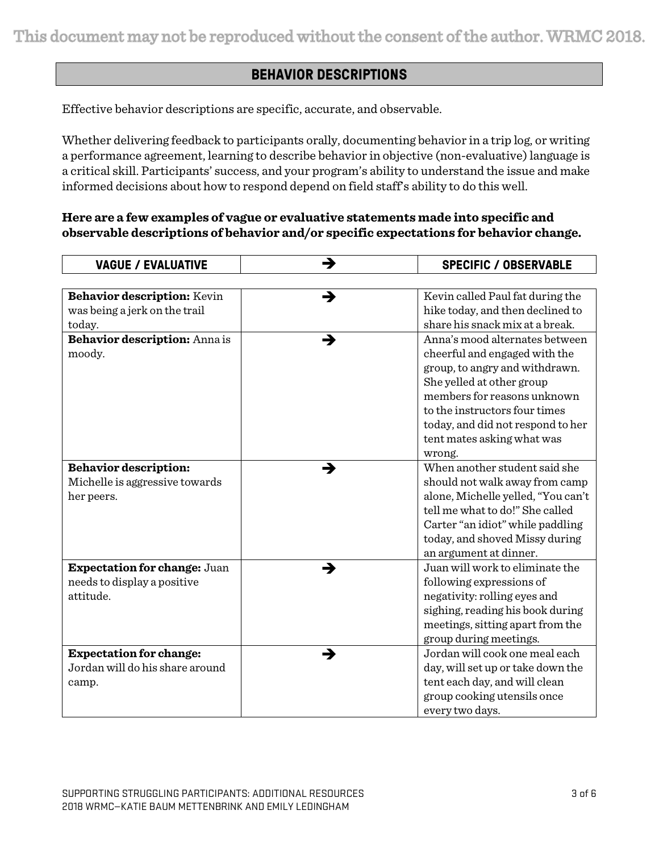This document may not be reproduced without the consent of the author. WRMC 2018.

# **BEHAVIOR DESCRIPTIONS**

Effective behavior descriptions are specific, accurate, and observable.

Whether delivering feedback to participants orally, documenting behavior in a trip log, or writing a performance agreement, learning to describe behavior in objective (non-evaluative) language is a critical skill. Participants' success, and your program's ability to understand the issue and make informed decisions about how to respond depend on field staff's ability to do this well.

## **Here are a few examples of vague or evaluative statements made into specific and observable descriptions of behavior and/or specific expectations for behavior change.**

| <b>VAGUE / EVALUATIVE</b>           | → | <b>SPECIFIC / OBSERVABLE</b>       |
|-------------------------------------|---|------------------------------------|
|                                     |   |                                    |
| Behavior description: Kevin         | → | Kevin called Paul fat during the   |
| was being a jerk on the trail       |   | hike today, and then declined to   |
| today.                              |   | share his snack mix at a break.    |
| Behavior description: Anna is       | → | Anna's mood alternates between     |
| moody.                              |   | cheerful and engaged with the      |
|                                     |   | group, to angry and withdrawn.     |
|                                     |   | She yelled at other group          |
|                                     |   | members for reasons unknown        |
|                                     |   | to the instructors four times      |
|                                     |   | today, and did not respond to her  |
|                                     |   | tent mates asking what was         |
|                                     |   | wrong.                             |
| <b>Behavior description:</b>        | → | When another student said she      |
| Michelle is aggressive towards      |   | should not walk away from camp     |
| her peers.                          |   | alone, Michelle yelled, "You can't |
|                                     |   | tell me what to do!" She called    |
|                                     |   | Carter "an idiot" while paddling   |
|                                     |   | today, and shoved Missy during     |
|                                     |   | an argument at dinner.             |
| <b>Expectation for change: Juan</b> | → | Juan will work to eliminate the    |
| needs to display a positive         |   | following expressions of           |
| attitude.                           |   | negativity: rolling eyes and       |
|                                     |   | sighing, reading his book during   |
|                                     |   | meetings, sitting apart from the   |
|                                     |   | group during meetings.             |
| <b>Expectation for change:</b>      | → | Jordan will cook one meal each     |
| Jordan will do his share around     |   | day, will set up or take down the  |
| camp.                               |   | tent each day, and will clean      |
|                                     |   | group cooking utensils once        |
|                                     |   | every two days.                    |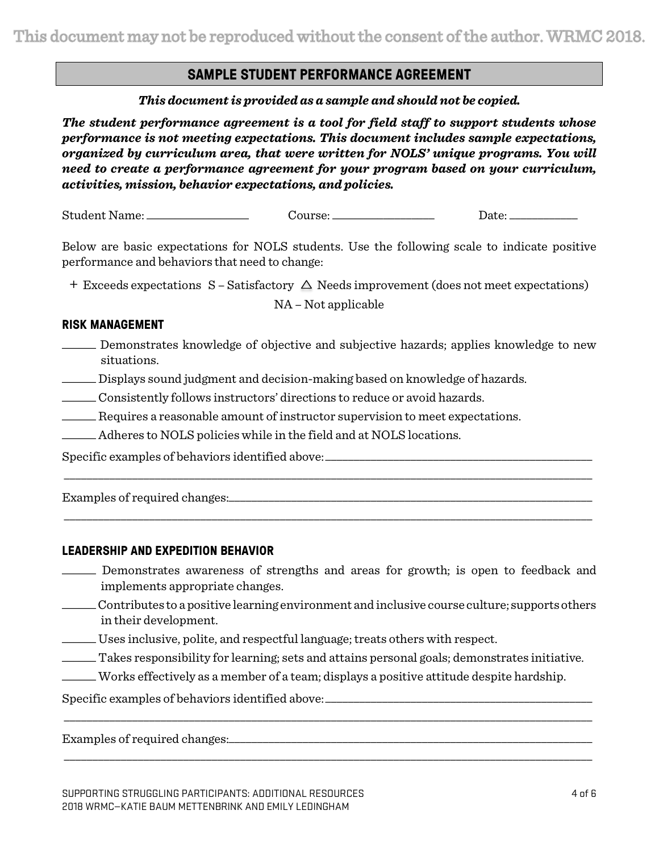This document may not be reproduced without the consent of the author. WRMC 2018.

## **SAMPLE STUDENT PERFORMANCE AGREEMENT**

*This document is provided as a sample and should not be copied.*

*The student performance agreement is a tool for field staff to support students whose performance is not meeting expectations. This document includes sample expectations, organized by curriculum area, that were written for NOLS' unique programs. You will need to create a performance agreement for your program based on your curriculum, activities, mission, behavior expectations, and policies.*

Student Name: \_\_\_\_\_\_\_\_\_\_\_\_\_\_\_\_\_\_ Course: \_\_\_\_\_\_\_\_\_\_\_\_\_\_\_\_\_\_ Date: \_\_\_\_\_\_\_\_\_\_\_\_

Below are basic expectations for NOLS students. Use the following scale to indicate positive performance and behaviors that need to change:

 $+$  Exceeds expectations  $S - S$ atisfactory  $\triangle$  Needs improvement (does not meet expectations)

NA – Not applicable

## **RISK MANAGEMENT**

- \_\_\_\_\_\_ Demonstrates knowledge of objective and subjective hazards; applies knowledge to new situations.
- \_\_\_\_\_\_ Displays sound judgment and decision-making based on knowledge of hazards.
- \_\_\_\_\_\_ Consistently follows instructors' directions to reduce or avoid hazards.
- \_\_\_\_\_\_ Requires a reasonable amount of instructor supervision to meet expectations.
- \_\_\_\_\_\_ Adheres to NOLS policies while in the field and at NOLS locations.

Specific examples of behaviors identified above:

Examples of required changes:

## **LEADERSHIP AND EXPEDITION BEHAVIOR**

\_\_\_\_\_\_ Demonstrates awareness of strengths and areas for growth; is open to feedback and implements appropriate changes.

\_\_\_\_\_\_\_\_\_\_\_\_\_\_\_\_\_\_\_\_\_\_\_\_\_\_\_\_\_\_\_\_\_\_\_\_\_\_\_\_\_\_\_\_\_\_\_\_\_\_\_\_\_\_\_\_\_\_\_\_\_\_\_\_\_\_\_\_\_\_\_\_\_\_\_\_\_\_\_\_\_\_\_\_\_\_\_\_\_\_\_\_\_

\_\_\_\_\_\_\_\_\_\_\_\_\_\_\_\_\_\_\_\_\_\_\_\_\_\_\_\_\_\_\_\_\_\_\_\_\_\_\_\_\_\_\_\_\_\_\_\_\_\_\_\_\_\_\_\_\_\_\_\_\_\_\_\_\_\_\_\_\_\_\_\_\_\_\_\_\_\_\_\_\_\_\_\_\_\_\_\_\_\_\_\_\_

- \_\_\_\_\_\_Contributes to a positive learning environment and inclusive course culture; supports others in their development.
- \_\_\_\_\_\_ Uses inclusive, polite, and respectful language; treats others with respect.
- \_\_\_\_\_\_ Takes responsibility for learning; sets and attains personal goals; demonstrates initiative.

\_\_\_\_\_\_\_\_\_\_\_\_\_\_\_\_\_\_\_\_\_\_\_\_\_\_\_\_\_\_\_\_\_\_\_\_\_\_\_\_\_\_\_\_\_\_\_\_\_\_\_\_\_\_\_\_\_\_\_\_\_\_\_\_\_\_\_\_\_\_\_\_\_\_\_\_\_\_\_\_\_\_\_\_\_\_\_\_\_\_\_\_\_

\_\_\_\_\_\_\_\_\_\_\_\_\_\_\_\_\_\_\_\_\_\_\_\_\_\_\_\_\_\_\_\_\_\_\_\_\_\_\_\_\_\_\_\_\_\_\_\_\_\_\_\_\_\_\_\_\_\_\_\_\_\_\_\_\_\_\_\_\_\_\_\_\_\_\_\_\_\_\_\_\_\_\_\_\_\_\_\_\_\_\_\_\_

\_\_\_\_\_\_ Works effectively as a member of a team; displays a positive attitude despite hardship.

Specific examples of behaviors identified above:

Examples of required changes: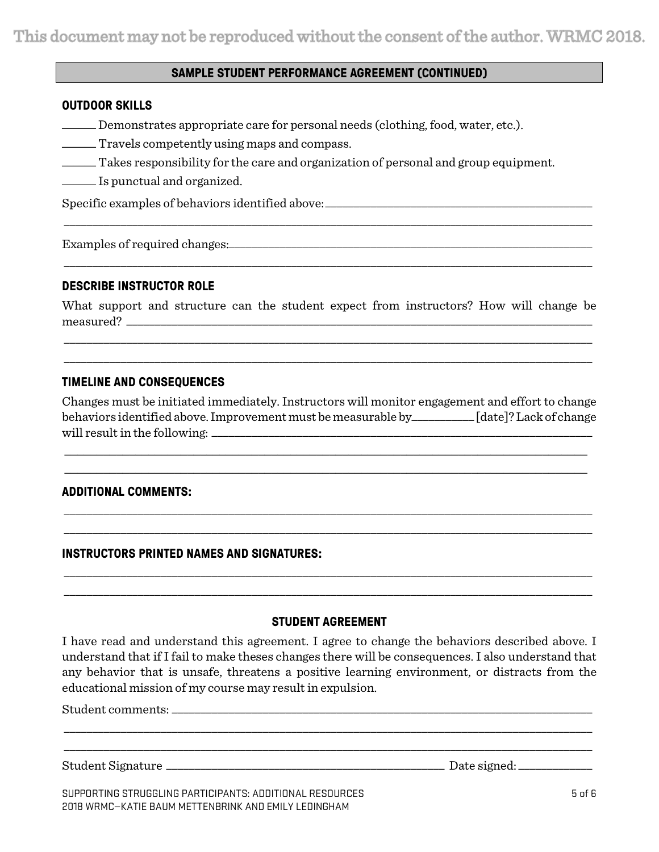## **SAMPLE STUDENT PERFORMANCE AGREEMENT (CONTINUED)**

#### **OUTDOOR SKILLS**

\_\_\_\_\_\_ Demonstrates appropriate care for personal needs (clothing, food, water, etc.).

- \_\_\_\_\_\_ Travels competently using maps and compass.
- \_\_\_\_\_\_ Takes responsibility for the care and organization of personal and group equipment.
- \_\_\_\_\_\_ Is punctual and organized.

Specific examples of behaviors identified above: \_\_\_\_\_\_\_\_\_\_\_\_\_\_\_\_\_\_\_\_\_\_\_\_\_\_\_\_\_\_\_

Examples of required changes:\_\_\_\_\_\_\_\_\_\_\_\_\_\_\_\_\_\_\_\_\_\_\_\_\_\_\_\_\_\_\_\_\_\_\_\_\_\_\_\_\_\_\_\_\_\_\_\_\_\_\_\_\_\_\_\_\_\_\_\_\_\_\_\_

#### **DESCRIBE INSTRUCTOR ROLE**

What support and structure can the student expect from instructors? How will change be measured?

\_\_\_\_\_\_\_\_\_\_\_\_\_\_\_\_\_\_\_\_\_\_\_\_\_\_\_\_\_\_\_\_\_\_\_\_\_\_\_\_\_\_\_\_\_\_\_\_\_\_\_\_\_\_\_\_\_\_\_\_\_\_\_\_\_\_\_\_\_\_\_\_\_\_\_\_\_\_\_\_\_\_\_\_\_\_\_\_\_\_\_\_\_ \_\_\_\_\_\_\_\_\_\_\_\_\_\_\_\_\_\_\_\_\_\_\_\_\_\_\_\_\_\_\_\_\_\_\_\_\_\_\_\_\_\_\_\_\_\_\_\_\_\_\_\_\_\_\_\_\_\_\_\_\_\_\_\_\_\_\_\_\_\_\_\_\_\_\_\_\_\_\_\_\_\_\_\_\_\_\_\_\_\_\_\_\_

\_\_\_\_\_\_\_\_\_\_\_\_\_\_\_\_\_\_\_\_\_\_\_\_\_\_\_\_\_\_\_\_\_\_\_\_\_\_\_\_\_\_\_\_\_\_\_\_\_\_\_\_\_\_\_\_\_\_\_\_\_\_\_\_\_\_\_\_\_\_\_\_\_\_\_\_\_\_\_\_\_\_\_\_\_\_\_\_\_\_\_\_\_

\_\_\_\_\_\_\_\_\_\_\_\_\_\_\_\_\_\_\_\_\_\_\_\_\_\_\_\_\_\_\_\_\_\_\_\_\_\_\_\_\_\_\_\_\_\_\_\_\_\_\_\_\_\_\_\_\_\_\_\_\_\_\_\_\_\_\_\_\_\_\_\_\_\_\_\_\_\_\_\_\_\_\_\_\_\_\_\_\_\_\_\_\_

## **TIMELINE AND CONSEQUENCES**

Changes must be initiated immediately. Instructors will monitor engagement and effort to change behaviors identified above. Improvement must be measurable by\_\_\_\_\_\_\_\_\_\_\_ [date]?Lack of change will result in the following: \_\_\_\_\_\_\_\_\_\_\_\_\_\_\_\_\_\_\_\_\_\_\_\_\_\_\_\_\_\_\_\_\_\_\_\_\_\_\_\_\_\_\_\_\_\_\_\_\_\_\_\_\_\_\_\_\_\_\_\_\_\_\_\_\_\_\_

\_\_\_\_\_\_\_\_\_\_\_\_\_\_\_\_\_\_\_\_\_\_\_\_\_\_\_\_\_\_\_\_\_\_\_\_\_\_\_\_\_\_\_\_\_\_\_\_\_\_\_\_\_\_\_\_\_\_\_\_\_\_\_\_\_\_\_\_\_\_\_\_\_\_\_\_\_\_\_\_\_ \_\_\_\_\_\_\_\_\_\_\_\_\_\_\_\_\_\_\_\_\_\_\_\_\_\_\_\_\_\_\_\_\_\_\_\_\_\_\_\_\_\_\_\_\_\_\_\_\_\_\_\_\_\_\_\_\_\_\_\_\_\_\_\_\_\_\_\_\_\_\_\_\_\_\_\_\_\_\_\_\_

\_\_\_\_\_\_\_\_\_\_\_\_\_\_\_\_\_\_\_\_\_\_\_\_\_\_\_\_\_\_\_\_\_\_\_\_\_\_\_\_\_\_\_\_\_\_\_\_\_\_\_\_\_\_\_\_\_\_\_\_\_\_\_\_\_\_\_\_\_\_\_\_\_\_\_\_\_\_\_\_\_\_\_\_\_\_\_\_\_\_\_\_\_ \_\_\_\_\_\_\_\_\_\_\_\_\_\_\_\_\_\_\_\_\_\_\_\_\_\_\_\_\_\_\_\_\_\_\_\_\_\_\_\_\_\_\_\_\_\_\_\_\_\_\_\_\_\_\_\_\_\_\_\_\_\_\_\_\_\_\_\_\_\_\_\_\_\_\_\_\_\_\_\_\_\_\_\_\_\_\_\_\_\_\_\_\_

#### **ADDITIONAL COMMENTS:**

#### **INSTRUCTORS PRINTED NAMES AND SIGNATURES:**

## **STUDENT AGREEMENT**

\_\_\_\_\_\_\_\_\_\_\_\_\_\_\_\_\_\_\_\_\_\_\_\_\_\_\_\_\_\_\_\_\_\_\_\_\_\_\_\_\_\_\_\_\_\_\_\_\_\_\_\_\_\_\_\_\_\_\_\_\_\_\_\_\_\_\_\_\_\_\_\_\_\_\_\_\_\_\_\_\_\_\_\_\_\_\_\_\_\_\_\_\_ \_\_\_\_\_\_\_\_\_\_\_\_\_\_\_\_\_\_\_\_\_\_\_\_\_\_\_\_\_\_\_\_\_\_\_\_\_\_\_\_\_\_\_\_\_\_\_\_\_\_\_\_\_\_\_\_\_\_\_\_\_\_\_\_\_\_\_\_\_\_\_\_\_\_\_\_\_\_\_\_\_\_\_\_\_\_\_\_\_\_\_\_\_

I have read and understand this agreement. I agree to change the behaviors described above. I understand that if I fail to make theses changes there will be consequences. I also understand that any behavior that is unsafe, threatens a positive learning environment, or distracts from the educational mission of my course may result in expulsion.

\_\_\_\_\_\_\_\_\_\_\_\_\_\_\_\_\_\_\_\_\_\_\_\_\_\_\_\_\_\_\_\_\_\_\_\_\_\_\_\_\_\_\_\_\_\_\_\_\_\_\_\_\_\_\_\_\_\_\_\_\_\_\_\_\_\_\_\_\_\_\_\_\_\_\_\_\_\_\_\_\_\_\_\_\_\_\_\_\_\_\_\_\_ \_\_\_\_\_\_\_\_\_\_\_\_\_\_\_\_\_\_\_\_\_\_\_\_\_\_\_\_\_\_\_\_\_\_\_\_\_\_\_\_\_\_\_\_\_\_\_\_\_\_\_\_\_\_\_\_\_\_\_\_\_\_\_\_\_\_\_\_\_\_\_\_\_\_\_\_\_\_\_\_\_\_\_\_\_\_\_\_\_\_\_\_\_

Student comments: \_\_\_\_\_\_\_\_\_\_\_\_\_\_\_\_\_\_\_\_\_\_\_\_\_\_\_\_\_\_\_\_\_\_\_\_\_\_\_\_\_\_\_\_\_\_\_\_\_\_\_\_\_\_\_\_\_\_\_\_\_\_\_\_\_\_\_\_\_\_\_\_\_\_

Student Signature \_\_\_\_\_\_\_\_\_\_\_\_\_\_\_\_\_\_\_\_\_\_\_\_\_\_\_\_\_\_\_\_\_\_\_\_\_\_\_\_\_\_\_\_\_\_\_\_\_ Date signed: \_\_\_\_\_\_\_\_\_\_\_\_\_